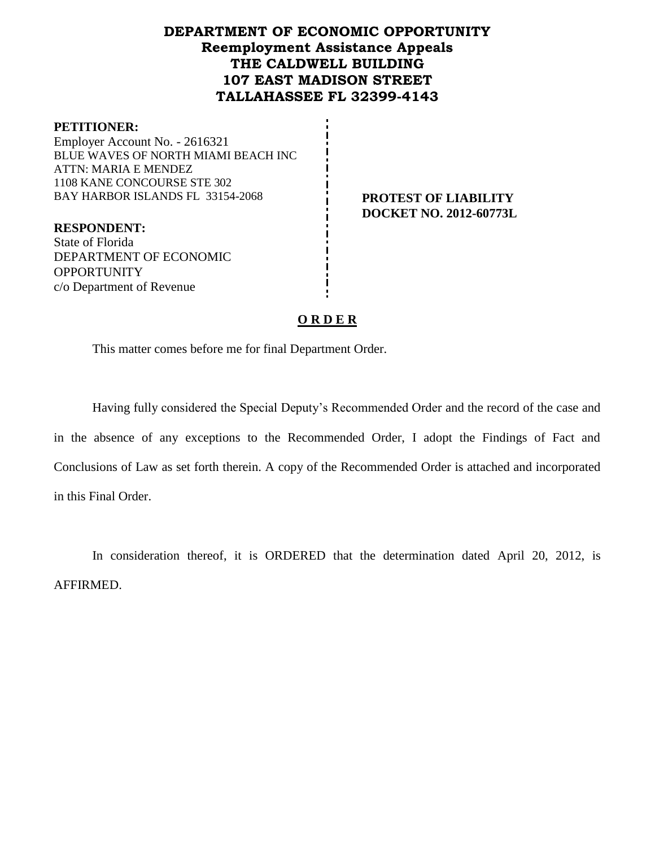# **DEPARTMENT OF ECONOMIC OPPORTUNITY Reemployment Assistance Appeals THE CALDWELL BUILDING 107 EAST MADISON STREET TALLAHASSEE FL 32399-4143**

#### **PETITIONER:**

Employer Account No. - 2616321 BLUE WAVES OF NORTH MIAMI BEACH INC ATTN: MARIA E MENDEZ 1108 KANE CONCOURSE STE 302 BAY HARBOR ISLANDS FL 33154-2068 **PROTEST OF LIABILITY** 

**DOCKET NO. 2012-60773L**

**RESPONDENT:** State of Florida DEPARTMENT OF ECONOMIC **OPPORTUNITY** c/o Department of Revenue

### **O R D E R**

This matter comes before me for final Department Order.

Having fully considered the Special Deputy's Recommended Order and the record of the case and in the absence of any exceptions to the Recommended Order, I adopt the Findings of Fact and Conclusions of Law as set forth therein. A copy of the Recommended Order is attached and incorporated in this Final Order.

In consideration thereof, it is ORDERED that the determination dated April 20, 2012, is AFFIRMED.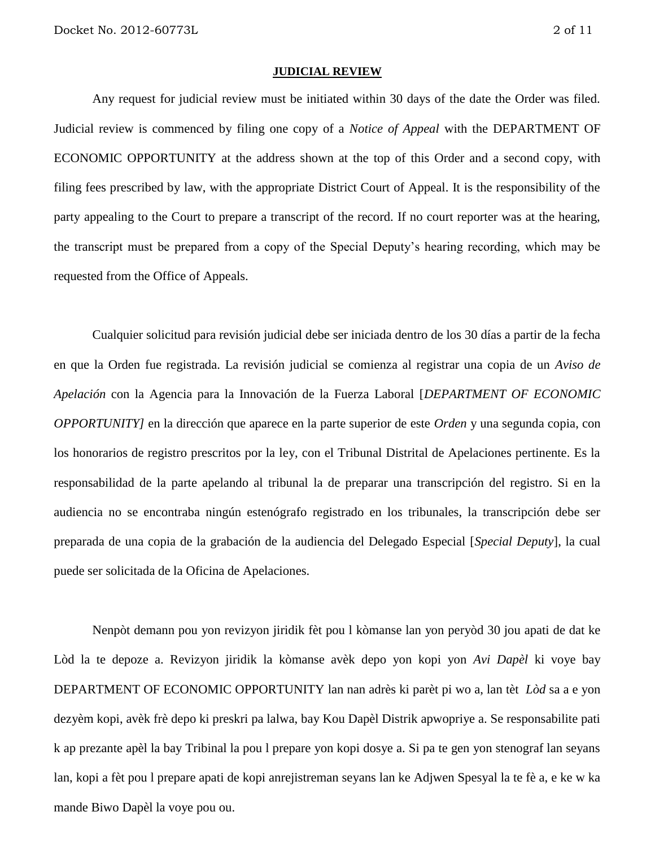#### **JUDICIAL REVIEW**

Any request for judicial review must be initiated within 30 days of the date the Order was filed. Judicial review is commenced by filing one copy of a *Notice of Appeal* with the DEPARTMENT OF ECONOMIC OPPORTUNITY at the address shown at the top of this Order and a second copy, with filing fees prescribed by law, with the appropriate District Court of Appeal. It is the responsibility of the party appealing to the Court to prepare a transcript of the record. If no court reporter was at the hearing, the transcript must be prepared from a copy of the Special Deputy's hearing recording, which may be requested from the Office of Appeals.

Cualquier solicitud para revisión judicial debe ser iniciada dentro de los 30 días a partir de la fecha en que la Orden fue registrada. La revisión judicial se comienza al registrar una copia de un *Aviso de Apelación* con la Agencia para la Innovación de la Fuerza Laboral [*DEPARTMENT OF ECONOMIC OPPORTUNITY]* en la dirección que aparece en la parte superior de este *Orden* y una segunda copia, con los honorarios de registro prescritos por la ley, con el Tribunal Distrital de Apelaciones pertinente. Es la responsabilidad de la parte apelando al tribunal la de preparar una transcripción del registro. Si en la audiencia no se encontraba ningún estenógrafo registrado en los tribunales, la transcripción debe ser preparada de una copia de la grabación de la audiencia del Delegado Especial [*Special Deputy*], la cual puede ser solicitada de la Oficina de Apelaciones.

Nenpòt demann pou yon revizyon jiridik fèt pou l kòmanse lan yon peryòd 30 jou apati de dat ke Lòd la te depoze a. Revizyon jiridik la kòmanse avèk depo yon kopi yon *Avi Dapèl* ki voye bay DEPARTMENT OF ECONOMIC OPPORTUNITY lan nan adrès ki parèt pi wo a, lan tèt *Lòd* sa a e yon dezyèm kopi, avèk frè depo ki preskri pa lalwa, bay Kou Dapèl Distrik apwopriye a. Se responsabilite pati k ap prezante apèl la bay Tribinal la pou l prepare yon kopi dosye a. Si pa te gen yon stenograf lan seyans lan, kopi a fèt pou l prepare apati de kopi anrejistreman seyans lan ke Adjwen Spesyal la te fè a, e ke w ka mande Biwo Dapèl la voye pou ou.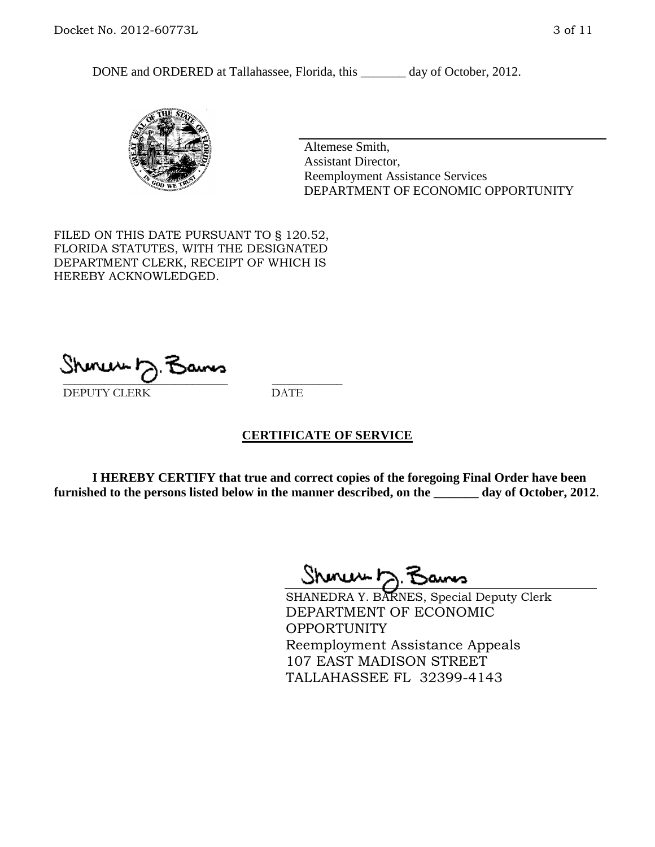DONE and ORDERED at Tallahassee, Florida, this day of October, 2012.



Altemese Smith, Assistant Director, Reemployment Assistance Services DEPARTMENT OF ECONOMIC OPPORTUNITY

FILED ON THIS DATE PURSUANT TO § 120.52, FLORIDA STATUTES, WITH THE DESIGNATED DEPARTMENT CLERK, RECEIPT OF WHICH IS HEREBY ACKNOWLEDGED.

 $\mathcal{S}$ hmun $\mapsto$   $\mathcal{S}$ amo DEPUTY CLERK DATE

### **CERTIFICATE OF SERVICE**

**I HEREBY CERTIFY that true and correct copies of the foregoing Final Order have been furnished to the persons listed below in the manner described, on the \_\_\_\_\_\_\_ day of October, 2012**.

Shmun 12.Z

SHANEDRA Y. BARNES, Special Deputy Clerk DEPARTMENT OF ECONOMIC OPPORTUNITY Reemployment Assistance Appeals 107 EAST MADISON STREET TALLAHASSEE FL 32399-4143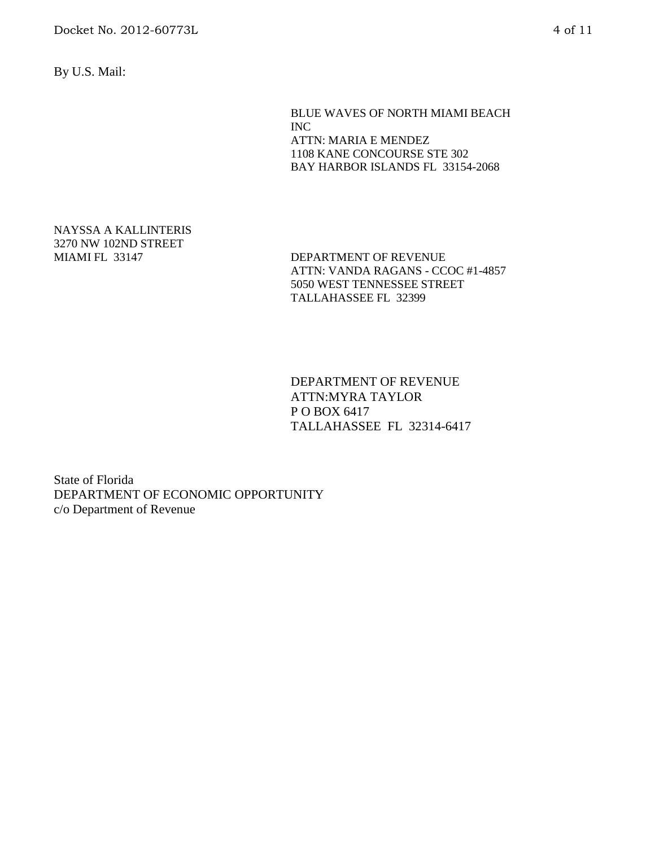By U.S. Mail:

BLUE WAVES OF NORTH MIAMI BEACH INC ATTN: MARIA E MENDEZ 1108 KANE CONCOURSE STE 302 BAY HARBOR ISLANDS FL 33154-2068

NAYSSA A KALLINTERIS 3270 NW 102ND STREET

MIAMI FL 33147 DEPARTMENT OF REVENUE ATTN: VANDA RAGANS - CCOC #1-4857 5050 WEST TENNESSEE STREET TALLAHASSEE FL 32399

> DEPARTMENT OF REVENUE ATTN:MYRA TAYLOR P O BOX 6417 TALLAHASSEE FL 32314-6417

State of Florida DEPARTMENT OF ECONOMIC OPPORTUNITY c/o Department of Revenue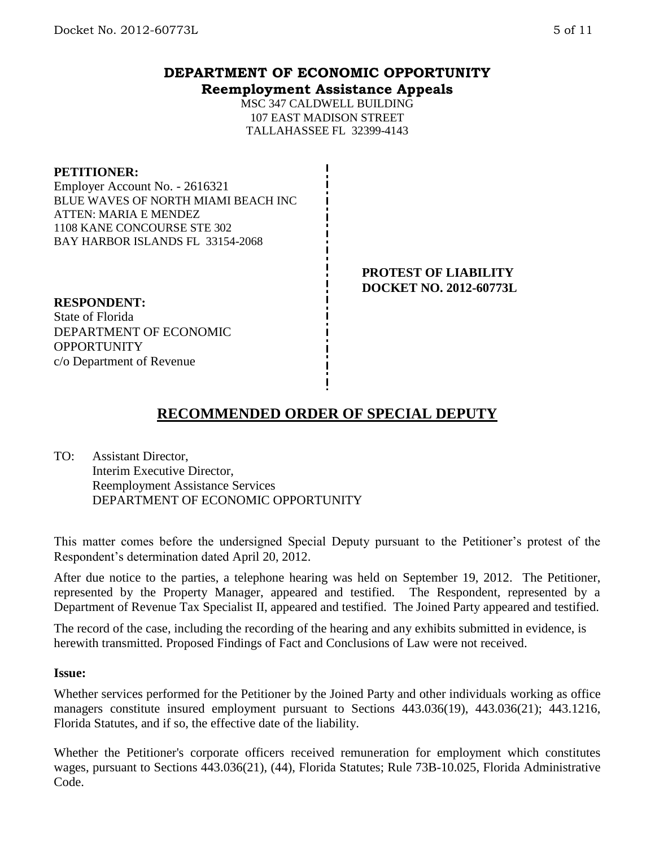## **DEPARTMENT OF ECONOMIC OPPORTUNITY Reemployment Assistance Appeals**

MSC 347 CALDWELL BUILDING 107 EAST MADISON STREET TALLAHASSEE FL 32399-4143

### **PETITIONER:**

Employer Account No. - 2616321 BLUE WAVES OF NORTH MIAMI BEACH INC ATTEN: MARIA E MENDEZ 1108 KANE CONCOURSE STE 302 BAY HARBOR ISLANDS FL 33154-2068

> **PROTEST OF LIABILITY DOCKET NO. 2012-60773L**

### **RESPONDENT:**

State of Florida DEPARTMENT OF ECONOMIC **OPPORTUNITY** c/o Department of Revenue

# **RECOMMENDED ORDER OF SPECIAL DEPUTY**

TO: Assistant Director, Interim Executive Director, Reemployment Assistance Services DEPARTMENT OF ECONOMIC OPPORTUNITY

This matter comes before the undersigned Special Deputy pursuant to the Petitioner's protest of the Respondent's determination dated April 20, 2012.

After due notice to the parties, a telephone hearing was held on September 19, 2012. The Petitioner, represented by the Property Manager, appeared and testified. The Respondent, represented by a Department of Revenue Tax Specialist II, appeared and testified. The Joined Party appeared and testified.

The record of the case, including the recording of the hearing and any exhibits submitted in evidence, is herewith transmitted. Proposed Findings of Fact and Conclusions of Law were not received.

### **Issue:**

Whether services performed for the Petitioner by the Joined Party and other individuals working as office managers constitute insured employment pursuant to Sections 443.036(19), 443.036(21); 443.1216, Florida Statutes, and if so, the effective date of the liability.

Whether the Petitioner's corporate officers received remuneration for employment which constitutes wages, pursuant to Sections 443.036(21), (44), Florida Statutes; Rule 73B-10.025, Florida Administrative Code.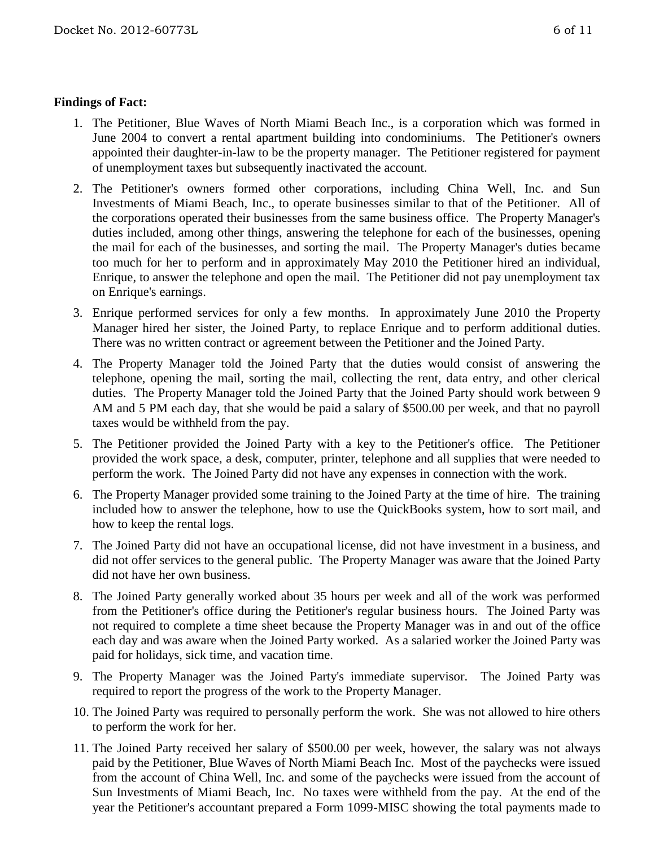## **Findings of Fact:**

- 1. The Petitioner, Blue Waves of North Miami Beach Inc., is a corporation which was formed in June 2004 to convert a rental apartment building into condominiums. The Petitioner's owners appointed their daughter-in-law to be the property manager. The Petitioner registered for payment of unemployment taxes but subsequently inactivated the account.
- 2. The Petitioner's owners formed other corporations, including China Well, Inc. and Sun Investments of Miami Beach, Inc., to operate businesses similar to that of the Petitioner. All of the corporations operated their businesses from the same business office. The Property Manager's duties included, among other things, answering the telephone for each of the businesses, opening the mail for each of the businesses, and sorting the mail. The Property Manager's duties became too much for her to perform and in approximately May 2010 the Petitioner hired an individual, Enrique, to answer the telephone and open the mail. The Petitioner did not pay unemployment tax on Enrique's earnings.
- 3. Enrique performed services for only a few months. In approximately June 2010 the Property Manager hired her sister, the Joined Party, to replace Enrique and to perform additional duties. There was no written contract or agreement between the Petitioner and the Joined Party.
- 4. The Property Manager told the Joined Party that the duties would consist of answering the telephone, opening the mail, sorting the mail, collecting the rent, data entry, and other clerical duties. The Property Manager told the Joined Party that the Joined Party should work between 9 AM and 5 PM each day, that she would be paid a salary of \$500.00 per week, and that no payroll taxes would be withheld from the pay.
- 5. The Petitioner provided the Joined Party with a key to the Petitioner's office. The Petitioner provided the work space, a desk, computer, printer, telephone and all supplies that were needed to perform the work. The Joined Party did not have any expenses in connection with the work.
- 6. The Property Manager provided some training to the Joined Party at the time of hire. The training included how to answer the telephone, how to use the QuickBooks system, how to sort mail, and how to keep the rental logs.
- 7. The Joined Party did not have an occupational license, did not have investment in a business, and did not offer services to the general public. The Property Manager was aware that the Joined Party did not have her own business.
- 8. The Joined Party generally worked about 35 hours per week and all of the work was performed from the Petitioner's office during the Petitioner's regular business hours. The Joined Party was not required to complete a time sheet because the Property Manager was in and out of the office each day and was aware when the Joined Party worked. As a salaried worker the Joined Party was paid for holidays, sick time, and vacation time.
- 9. The Property Manager was the Joined Party's immediate supervisor. The Joined Party was required to report the progress of the work to the Property Manager.
- 10. The Joined Party was required to personally perform the work. She was not allowed to hire others to perform the work for her.
- 11. The Joined Party received her salary of \$500.00 per week, however, the salary was not always paid by the Petitioner, Blue Waves of North Miami Beach Inc. Most of the paychecks were issued from the account of China Well, Inc. and some of the paychecks were issued from the account of Sun Investments of Miami Beach, Inc. No taxes were withheld from the pay. At the end of the year the Petitioner's accountant prepared a Form 1099-MISC showing the total payments made to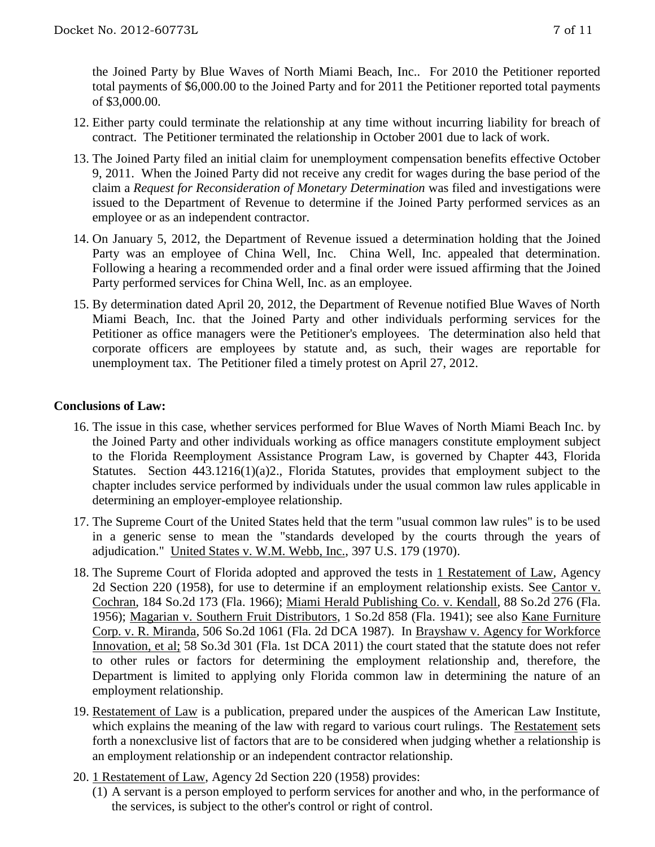the Joined Party by Blue Waves of North Miami Beach, Inc.. For 2010 the Petitioner reported total payments of \$6,000.00 to the Joined Party and for 2011 the Petitioner reported total payments of \$3,000.00.

- 12. Either party could terminate the relationship at any time without incurring liability for breach of contract. The Petitioner terminated the relationship in October 2001 due to lack of work.
- 13. The Joined Party filed an initial claim for unemployment compensation benefits effective October 9, 2011. When the Joined Party did not receive any credit for wages during the base period of the claim a *Request for Reconsideration of Monetary Determination* was filed and investigations were issued to the Department of Revenue to determine if the Joined Party performed services as an employee or as an independent contractor.
- 14. On January 5, 2012, the Department of Revenue issued a determination holding that the Joined Party was an employee of China Well, Inc. China Well, Inc. appealed that determination. Following a hearing a recommended order and a final order were issued affirming that the Joined Party performed services for China Well, Inc. as an employee.
- 15. By determination dated April 20, 2012, the Department of Revenue notified Blue Waves of North Miami Beach, Inc. that the Joined Party and other individuals performing services for the Petitioner as office managers were the Petitioner's employees. The determination also held that corporate officers are employees by statute and, as such, their wages are reportable for unemployment tax. The Petitioner filed a timely protest on April 27, 2012.

## **Conclusions of Law:**

- 16. The issue in this case, whether services performed for Blue Waves of North Miami Beach Inc. by the Joined Party and other individuals working as office managers constitute employment subject to the Florida Reemployment Assistance Program Law, is governed by Chapter 443, Florida Statutes. Section 443.1216(1)(a)2., Florida Statutes, provides that employment subject to the chapter includes service performed by individuals under the usual common law rules applicable in determining an employer-employee relationship.
- 17. The Supreme Court of the United States held that the term "usual common law rules" is to be used in a generic sense to mean the "standards developed by the courts through the years of adjudication." United States v. W.M. Webb, Inc., 397 U.S. 179 (1970).
- 18. The Supreme Court of Florida adopted and approved the tests in 1 Restatement of Law, Agency 2d Section 220 (1958), for use to determine if an employment relationship exists. See Cantor v. Cochran, 184 So.2d 173 (Fla. 1966); Miami Herald Publishing Co. v. Kendall, 88 So.2d 276 (Fla. 1956); Magarian v. Southern Fruit Distributors, 1 So.2d 858 (Fla. 1941); see also Kane Furniture Corp. v. R. Miranda, 506 So.2d 1061 (Fla. 2d DCA 1987). In Brayshaw v. Agency for Workforce Innovation, et al; 58 So.3d 301 (Fla. 1st DCA 2011) the court stated that the statute does not refer to other rules or factors for determining the employment relationship and, therefore, the Department is limited to applying only Florida common law in determining the nature of an employment relationship.
- 19. Restatement of Law is a publication, prepared under the auspices of the American Law Institute, which explains the meaning of the law with regard to various court rulings. The Restatement sets forth a nonexclusive list of factors that are to be considered when judging whether a relationship is an employment relationship or an independent contractor relationship.
- 20. 1 Restatement of Law, Agency 2d Section 220 (1958) provides:
	- (1) A servant is a person employed to perform services for another and who, in the performance of the services, is subject to the other's control or right of control.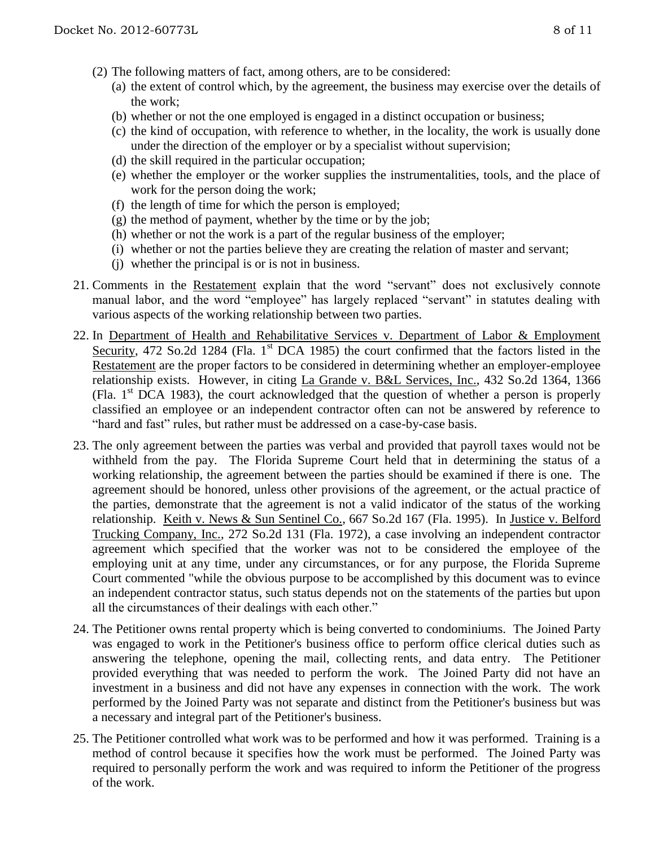- (a) the extent of control which, by the agreement, the business may exercise over the details of the work;
- (b) whether or not the one employed is engaged in a distinct occupation or business;
- (c) the kind of occupation, with reference to whether, in the locality, the work is usually done under the direction of the employer or by a specialist without supervision;
- (d) the skill required in the particular occupation;
- (e) whether the employer or the worker supplies the instrumentalities, tools, and the place of work for the person doing the work;
- (f) the length of time for which the person is employed;
- $(g)$  the method of payment, whether by the time or by the job;
- (h) whether or not the work is a part of the regular business of the employer;
- (i) whether or not the parties believe they are creating the relation of master and servant;
- (j) whether the principal is or is not in business.
- 21. Comments in the Restatement explain that the word "servant" does not exclusively connote manual labor, and the word "employee" has largely replaced "servant" in statutes dealing with various aspects of the working relationship between two parties.
- 22. In Department of Health and Rehabilitative Services v. Department of Labor & Employment Security, 472 So.2d 1284 (Fla. 1<sup>st</sup> DCA 1985) the court confirmed that the factors listed in the Restatement are the proper factors to be considered in determining whether an employer-employee relationship exists. However, in citing La Grande v. B&L Services, Inc., 432 So.2d 1364, 1366 (Fla.  $1<sup>st</sup> DCA$  1983), the court acknowledged that the question of whether a person is properly classified an employee or an independent contractor often can not be answered by reference to "hard and fast" rules, but rather must be addressed on a case-by-case basis.
- 23. The only agreement between the parties was verbal and provided that payroll taxes would not be withheld from the pay. The Florida Supreme Court held that in determining the status of a working relationship, the agreement between the parties should be examined if there is one. The agreement should be honored, unless other provisions of the agreement, or the actual practice of the parties, demonstrate that the agreement is not a valid indicator of the status of the working relationship. Keith v. News & Sun Sentinel Co., 667 So.2d 167 (Fla. 1995). In Justice v. Belford Trucking Company, Inc., 272 So.2d 131 (Fla. 1972), a case involving an independent contractor agreement which specified that the worker was not to be considered the employee of the employing unit at any time, under any circumstances, or for any purpose, the Florida Supreme Court commented "while the obvious purpose to be accomplished by this document was to evince an independent contractor status, such status depends not on the statements of the parties but upon all the circumstances of their dealings with each other."
- 24. The Petitioner owns rental property which is being converted to condominiums. The Joined Party was engaged to work in the Petitioner's business office to perform office clerical duties such as answering the telephone, opening the mail, collecting rents, and data entry. The Petitioner provided everything that was needed to perform the work. The Joined Party did not have an investment in a business and did not have any expenses in connection with the work. The work performed by the Joined Party was not separate and distinct from the Petitioner's business but was a necessary and integral part of the Petitioner's business.
- 25. The Petitioner controlled what work was to be performed and how it was performed. Training is a method of control because it specifies how the work must be performed. The Joined Party was required to personally perform the work and was required to inform the Petitioner of the progress of the work.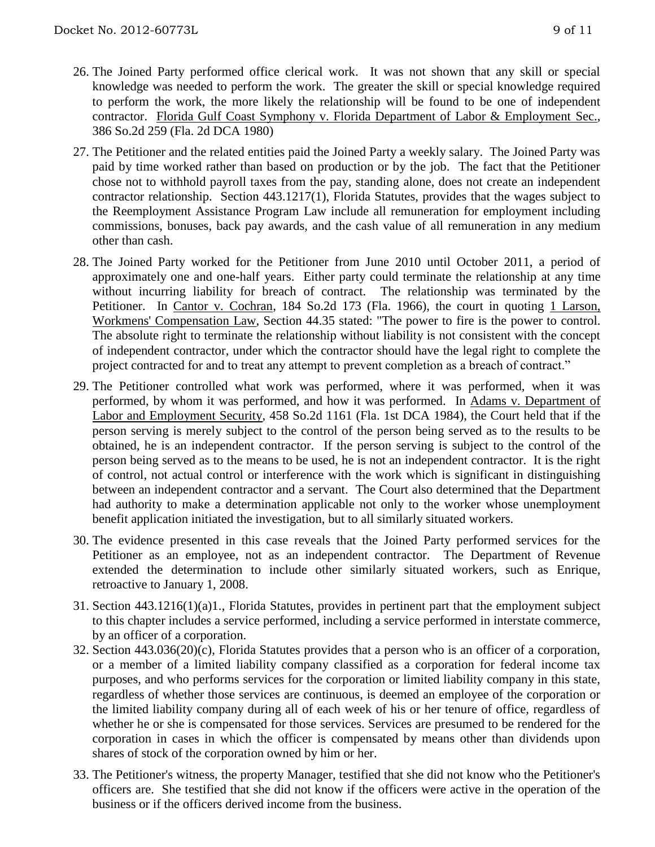- 26. The Joined Party performed office clerical work. It was not shown that any skill or special knowledge was needed to perform the work. The greater the skill or special knowledge required to perform the work, the more likely the relationship will be found to be one of independent contractor. Florida Gulf Coast Symphony v. Florida Department of Labor & Employment Sec., 386 So.2d 259 (Fla. 2d DCA 1980)
- 27. The Petitioner and the related entities paid the Joined Party a weekly salary. The Joined Party was paid by time worked rather than based on production or by the job. The fact that the Petitioner chose not to withhold payroll taxes from the pay, standing alone, does not create an independent contractor relationship. Section 443.1217(1), Florida Statutes, provides that the wages subject to the Reemployment Assistance Program Law include all remuneration for employment including commissions, bonuses, back pay awards, and the cash value of all remuneration in any medium other than cash.
- 28. The Joined Party worked for the Petitioner from June 2010 until October 2011, a period of approximately one and one-half years. Either party could terminate the relationship at any time without incurring liability for breach of contract. The relationship was terminated by the Petitioner. In Cantor v. Cochran, 184 So.2d 173 (Fla. 1966), the court in quoting 1 Larson, Workmens' Compensation Law, Section 44.35 stated: "The power to fire is the power to control. The absolute right to terminate the relationship without liability is not consistent with the concept of independent contractor, under which the contractor should have the legal right to complete the project contracted for and to treat any attempt to prevent completion as a breach of contract."
- 29. The Petitioner controlled what work was performed, where it was performed, when it was performed, by whom it was performed, and how it was performed. In Adams v. Department of Labor and Employment Security, 458 So.2d 1161 (Fla. 1st DCA 1984), the Court held that if the person serving is merely subject to the control of the person being served as to the results to be obtained, he is an independent contractor. If the person serving is subject to the control of the person being served as to the means to be used, he is not an independent contractor. It is the right of control, not actual control or interference with the work which is significant in distinguishing between an independent contractor and a servant. The Court also determined that the Department had authority to make a determination applicable not only to the worker whose unemployment benefit application initiated the investigation, but to all similarly situated workers.
- 30. The evidence presented in this case reveals that the Joined Party performed services for the Petitioner as an employee, not as an independent contractor. The Department of Revenue extended the determination to include other similarly situated workers, such as Enrique, retroactive to January 1, 2008.
- 31. Section 443.1216(1)(a)1., Florida Statutes, provides in pertinent part that the employment subject to this chapter includes a service performed, including a service performed in interstate commerce, by an officer of a corporation.
- 32. Section 443.036(20)(c), Florida Statutes provides that a person who is an officer of a corporation, or a member of a limited liability company classified as a corporation for federal income tax purposes, and who performs services for the corporation or limited liability company in this state, regardless of whether those services are continuous, is deemed an employee of the corporation or the limited liability company during all of each week of his or her tenure of office, regardless of whether he or she is compensated for those services. Services are presumed to be rendered for the corporation in cases in which the officer is compensated by means other than dividends upon shares of stock of the corporation owned by him or her.
- 33. The Petitioner's witness, the property Manager, testified that she did not know who the Petitioner's officers are. She testified that she did not know if the officers were active in the operation of the business or if the officers derived income from the business.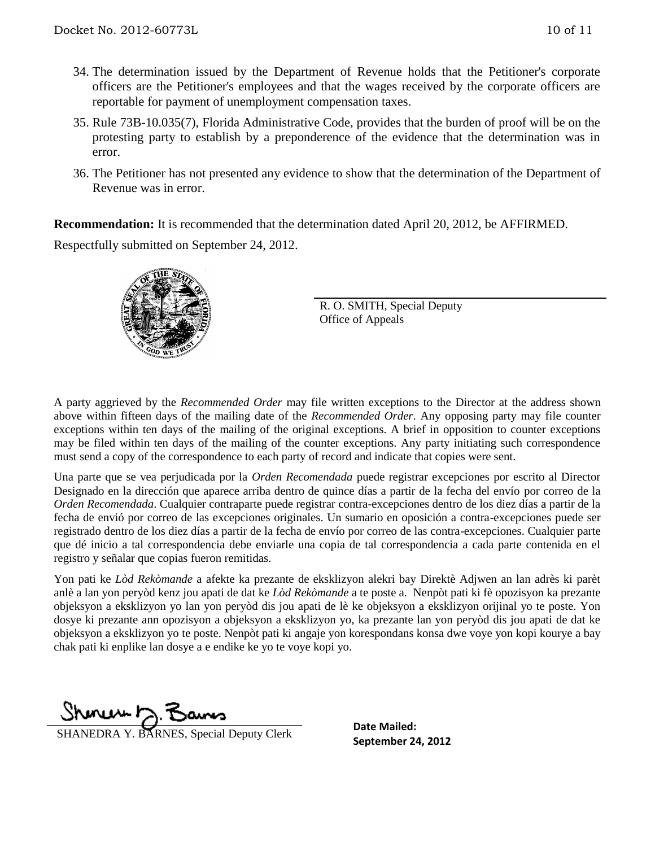- 34. The determination issued by the Department of Revenue holds that the Petitioner's corporate officers are the Petitioner's employees and that the wages received by the corporate officers are reportable for payment of unemployment compensation taxes.
- 35. Rule 73B-10.035(7), Florida Administrative Code, provides that the burden of proof will be on the protesting party to establish by a preponderence of the evidence that the determination was in error.
- 36. The Petitioner has not presented any evidence to show that the determination of the Department of Revenue was in error.

**Recommendation:** It is recommended that the determination dated April 20, 2012, be AFFIRMED. Respectfully submitted on September 24, 2012.



R. O. SMITH, Special Deputy Office of Appeals

A party aggrieved by the *Recommended Order* may file written exceptions to the Director at the address shown above within fifteen days of the mailing date of the *Recommended Order*. Any opposing party may file counter exceptions within ten days of the mailing of the original exceptions. A brief in opposition to counter exceptions may be filed within ten days of the mailing of the counter exceptions. Any party initiating such correspondence must send a copy of the correspondence to each party of record and indicate that copies were sent.

Una parte que se vea perjudicada por la *Orden Recomendada* puede registrar excepciones por escrito al Director Designado en la dirección que aparece arriba dentro de quince días a partir de la fecha del envío por correo de la *Orden Recomendada*. Cualquier contraparte puede registrar contra-excepciones dentro de los diez días a partir de la fecha de envió por correo de las excepciones originales. Un sumario en oposición a contra-excepciones puede ser registrado dentro de los diez días a partir de la fecha de envío por correo de las contra-excepciones. Cualquier parte que dé inicio a tal correspondencia debe enviarle una copia de tal correspondencia a cada parte contenida en el registro y señalar que copias fueron remitidas.

Yon pati ke *Lòd Rekòmande* a afekte ka prezante de eksklizyon alekri bay Direktè Adjwen an lan adrès ki parèt anlè a lan yon peryòd kenz jou apati de dat ke *Lòd Rekòmande* a te poste a. Nenpòt pati ki fè opozisyon ka prezante objeksyon a eksklizyon yo lan yon peryòd dis jou apati de lè ke objeksyon a eksklizyon orijinal yo te poste. Yon dosye ki prezante ann opozisyon a objeksyon a eksklizyon yo, ka prezante lan yon peryòd dis jou apati de dat ke objeksyon a eksklizyon yo te poste. Nenpòt pati ki angaje yon korespondans konsa dwe voye yon kopi kourye a bay chak pati ki enplike lan dosye a e endike ke yo te voye kopi yo.

 $Shmawr \geq 7$ 

**SHANEDRA Y. BARNES, Special Deputy Clerk** September 24, 2012

**Date Mailed:**